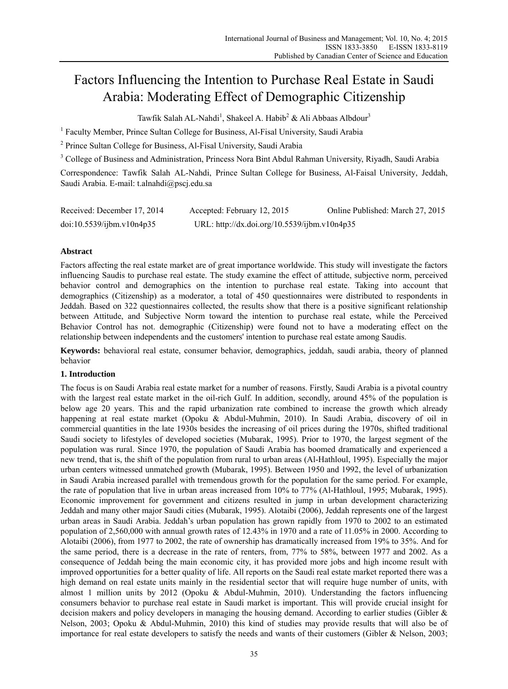# Factors Influencing the Intention to Purchase Real Estate in Saudi Arabia: Moderating Effect of Demographic Citizenship

Tawfik Salah AL-Nahdi<sup>1</sup>, Shakeel A. Habib<sup>2</sup> & Ali Abbaas Albdour<sup>3</sup>

<sup>1</sup> Faculty Member, Prince Sultan College for Business, Al-Fisal University, Saudi Arabia

<sup>2</sup> Prince Sultan College for Business, Al-Fisal University, Saudi Arabia

<sup>3</sup> College of Business and Administration, Princess Nora Bint Abdul Rahman University, Riyadh, Saudi Arabia

Correspondence: Tawfik Salah AL-Nahdi, Prince Sultan College for Business, Al-Faisal University, Jeddah, Saudi Arabia. E-mail: t.alnahdi@pscj.edu.sa

| Received: December 17, 2014 | Accepted: February 12, 2015                  | Online Published: March 27, 2015 |
|-----------------------------|----------------------------------------------|----------------------------------|
| doi:10.5539/ijbm.v10n4p35   | URL: http://dx.doi.org/10.5539/ijbm.v10n4p35 |                                  |

# **Abstract**

Factors affecting the real estate market are of great importance worldwide. This study will investigate the factors influencing Saudis to purchase real estate. The study examine the effect of attitude, subjective norm, perceived behavior control and demographics on the intention to purchase real estate. Taking into account that demographics (Citizenship) as a moderator, a total of 450 questionnaires were distributed to respondents in Jeddah. Based on 322 questionnaires collected, the results show that there is a positive significant relationship between Attitude, and Subjective Norm toward the intention to purchase real estate, while the Perceived Behavior Control has not. demographic (Citizenship) were found not to have a moderating effect on the relationship between independents and the customers' intention to purchase real estate among Saudis.

**Keywords:** behavioral real estate, consumer behavior, demographics, jeddah, saudi arabia, theory of planned behavior

# **1. Introduction**

The focus is on Saudi Arabia real estate market for a number of reasons. Firstly, Saudi Arabia is a pivotal country with the largest real estate market in the oil-rich Gulf. In addition, secondly, around 45% of the population is below age 20 years. This and the rapid urbanization rate combined to increase the growth which already happening at real estate market (Opoku & Abdul-Muhmin, 2010). In Saudi Arabia, discovery of oil in commercial quantities in the late 1930s besides the increasing of oil prices during the 1970s, shifted traditional Saudi society to lifestyles of developed societies (Mubarak, 1995). Prior to 1970, the largest segment of the population was rural. Since 1970, the population of Saudi Arabia has boomed dramatically and experienced a new trend, that is, the shift of the population from rural to urban areas (Al-Hathloul, 1995). Especially the major urban centers witnessed unmatched growth (Mubarak, 1995). Between 1950 and 1992, the level of urbanization in Saudi Arabia increased parallel with tremendous growth for the population for the same period. For example, the rate of population that live in urban areas increased from 10% to 77% (Al-Hathloul, 1995; Mubarak, 1995). Economic improvement for government and citizens resulted in jump in urban development characterizing Jeddah and many other major Saudi cities (Mubarak, 1995). Alotaibi (2006), Jeddah represents one of the largest urban areas in Saudi Arabia. Jeddah's urban population has grown rapidly from 1970 to 2002 to an estimated population of 2,560,000 with annual growth rates of 12.43% in 1970 and a rate of 11.05% in 2000. According to Alotaibi (2006), from 1977 to 2002, the rate of ownership has dramatically increased from 19% to 35%. And for the same period, there is a decrease in the rate of renters, from, 77% to 58%, between 1977 and 2002. As a consequence of Jeddah being the main economic city, it has provided more jobs and high income result with improved opportunities for a better quality of life. All reports on the Saudi real estate market reported there was a high demand on real estate units mainly in the residential sector that will require huge number of units, with almost 1 million units by 2012 (Opoku & Abdul-Muhmin, 2010). Understanding the factors influencing consumers behavior to purchase real estate in Saudi market is important. This will provide crucial insight for decision makers and policy developers in managing the housing demand. According to earlier studies (Gibler & Nelson, 2003; Opoku & Abdul-Muhmin, 2010) this kind of studies may provide results that will also be of importance for real estate developers to satisfy the needs and wants of their customers (Gibler & Nelson, 2003;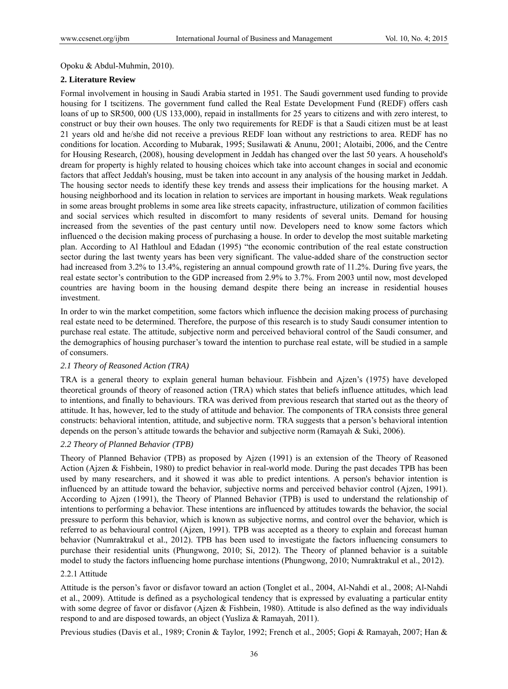Opoku & Abdul-Muhmin, 2010).

#### **2. Literature Review**

Formal involvement in housing in Saudi Arabia started in 1951. The Saudi government used funding to provide housing for I tscitizens. The government fund called the Real Estate Development Fund (REDF) offers cash loans of up to SR500, 000 (US 133,000), repaid in installments for 25 years to citizens and with zero interest, to construct or buy their own houses. The only two requirements for REDF is that a Saudi citizen must be at least 21 years old and he/she did not receive a previous REDF loan without any restrictions to area. REDF has no conditions for location. According to Mubarak, 1995; Susilawati & Anunu, 2001; Alotaibi, 2006, and the Centre for Housing Research, (2008), housing development in Jeddah has changed over the last 50 years. A household's dream for property is highly related to housing choices which take into account changes in social and economic factors that affect Jeddah's housing, must be taken into account in any analysis of the housing market in Jeddah. The housing sector needs to identify these key trends and assess their implications for the housing market. A housing neighborhood and its location in relation to services are important in housing markets. Weak regulations in some areas brought problems in some area like streets capacity, infrastructure, utilization of common facilities and social services which resulted in discomfort to many residents of several units. Demand for housing increased from the seventies of the past century until now. Developers need to know some factors which influenced o the decision making process of purchasing a house. In order to develop the most suitable marketing plan. According to Al Hathloul and Edadan (1995) "the economic contribution of the real estate construction sector during the last twenty years has been very significant. The value-added share of the construction sector had increased from 3.2% to 13.4%, registering an annual compound growth rate of 11.2%. During five years, the real estate sector's contribution to the GDP increased from 2.9% to 3.7%. From 2003 until now, most developed countries are having boom in the housing demand despite there being an increase in residential houses investment.

In order to win the market competition, some factors which influence the decision making process of purchasing real estate need to be determined. Therefore, the purpose of this research is to study Saudi consumer intention to purchase real estate. The attitude, subjective norm and perceived behavioral control of the Saudi consumer, and the demographics of housing purchaser's toward the intention to purchase real estate, will be studied in a sample of consumers.

#### *2.1 Theory of Reasoned Action (TRA)*

TRA is a general theory to explain general human behaviour. Fishbein and Ajzen's (1975) have developed theoretical grounds of theory of reasoned action (TRA) which states that beliefs influence attitudes, which lead to intentions, and finally to behaviours. TRA was derived from previous research that started out as the theory of attitude. It has, however, led to the study of attitude and behavior. The components of TRA consists three general constructs: behavioral intention, attitude, and subjective norm. TRA suggests that a person's behavioral intention depends on the person's attitude towards the behavior and subjective norm (Ramayah & Suki, 2006).

# *2.2 Theory of Planned Behavior (TPB)*

Theory of Planned Behavior (TPB) as proposed by Ajzen (1991) is an extension of the Theory of Reasoned Action (Ajzen & Fishbein, 1980) to predict behavior in real-world mode. During the past decades TPB has been used by many researchers, and it showed it was able to predict intentions. A person's behavior intention is influenced by an attitude toward the behavior, subjective norms and perceived behavior control (Ajzen, 1991). According to Ajzen (1991), the Theory of Planned Behavior (TPB) is used to understand the relationship of intentions to performing a behavior. These intentions are influenced by attitudes towards the behavior, the social pressure to perform this behavior, which is known as subjective norms, and control over the behavior, which is referred to as behavioural control (Ajzen, 1991). TPB was accepted as a theory to explain and forecast human behavior (Numraktrakul et al., 2012). TPB has been used to investigate the factors influencing consumers to purchase their residential units (Phungwong, 2010; Si, 2012). The Theory of planned behavior is a suitable model to study the factors influencing home purchase intentions (Phungwong, 2010; Numraktrakul et al., 2012).

### 2.2.1 Attitude

Attitude is the person's favor or disfavor toward an action (Tonglet et al., 2004, Al-Nahdi et al., 2008; Al-Nahdi et al., 2009). Attitude is defined as a psychological tendency that is expressed by evaluating a particular entity with some degree of favor or disfavor (Ajzen & Fishbein, 1980). Attitude is also defined as the way individuals respond to and are disposed towards, an object (Yusliza & Ramayah, 2011).

Previous studies (Davis et al., 1989; Cronin & Taylor, 1992; French et al., 2005; Gopi & Ramayah, 2007; Han &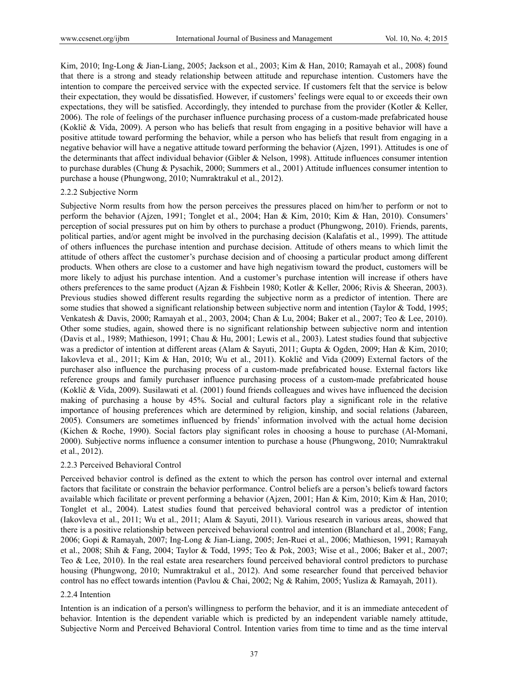Kim, 2010; Ing-Long & Jian-Liang, 2005; Jackson et al., 2003; Kim & Han, 2010; Ramayah et al., 2008) found that there is a strong and steady relationship between attitude and repurchase intention. Customers have the intention to compare the perceived service with the expected service. If customers felt that the service is below their expectation, they would be dissatisfied. However, if customers' feelings were equal to or exceeds their own expectations, they will be satisfied. Accordingly, they intended to purchase from the provider (Kotler & Keller, 2006). The role of feelings of the purchaser influence purchasing process of a custom-made prefabricated house (Koklič & Vida, 2009). A person who has beliefs that result from engaging in a positive behavior will have a positive attitude toward performing the behavior, while a person who has beliefs that result from engaging in a negative behavior will have a negative attitude toward performing the behavior (Ajzen, 1991). Attitudes is one of the determinants that affect individual behavior (Gibler & Nelson, 1998). Attitude influences consumer intention to purchase durables (Chung & Pysachik, 2000; Summers et al., 2001) Attitude influences consumer intention to purchase a house (Phungwong, 2010; Numraktrakul et al., 2012).

#### 2.2.2 Subjective Norm

Subjective Norm results from how the person perceives the pressures placed on him/her to perform or not to perform the behavior (Ajzen, 1991; Tonglet et al., 2004; Han & Kim, 2010; Kim & Han, 2010). Consumers' perception of social pressures put on him by others to purchase a product (Phungwong, 2010). Friends, parents, political parties, and/or agent might be involved in the purchasing decision (Kalafatis et al., 1999). The attitude of others influences the purchase intention and purchase decision. Attitude of others means to which limit the attitude of others affect the customer's purchase decision and of choosing a particular product among different products. When others are close to a customer and have high negativism toward the product, customers will be more likely to adjust his purchase intention. And a customer's purchase intention will increase if others have others preferences to the same product (Ajzan & Fishbein 1980; Kotler & Keller, 2006; Rivis & Sheeran, 2003). Previous studies showed different results regarding the subjective norm as a predictor of intention. There are some studies that showed a significant relationship between subjective norm and intention (Taylor & Todd, 1995; Venkatesh & Davis, 2000; Ramayah et al., 2003, 2004; Chan & Lu, 2004; Baker et al., 2007; Teo & Lee, 2010). Other some studies, again, showed there is no significant relationship between subjective norm and intention (Davis et al., 1989; Mathieson, 1991; Chau & Hu, 2001; Lewis et al., 2003). Latest studies found that subjective was a predictor of intention at different areas (Alam & Sayuti, 2011; Gupta & Ogden, 2009; Han & Kim, 2010; Iakovleva et al., 2011; Kim & Han, 2010; Wu et al., 2011). Koklič and Vida (2009) External factors of the purchaser also influence the purchasing process of a custom-made prefabricated house. External factors like reference groups and family purchaser influence purchasing process of a custom-made prefabricated house (Koklič & Vida, 2009). Susilawati et al. (2001) found friends colleagues and wives have influenced the decision making of purchasing a house by 45%. Social and cultural factors play a significant role in the relative importance of housing preferences which are determined by religion, kinship, and social relations (Jabareen, 2005). Consumers are sometimes influenced by friends' information involved with the actual home decision (Kichen & Roche, 1990). Social factors play significant roles in choosing a house to purchase (Al-Momani, 2000). Subjective norms influence a consumer intention to purchase a house (Phungwong, 2010; Numraktrakul et al., 2012).

### 2.2.3 Perceived Behavioral Control

Perceived behavior control is defined as the extent to which the person has control over internal and external factors that facilitate or constrain the behavior performance. Control beliefs are a person's beliefs toward factors available which facilitate or prevent performing a behavior (Ajzen, 2001; Han & Kim, 2010; Kim & Han, 2010; Tonglet et al., 2004). Latest studies found that perceived behavioral control was a predictor of intention (Iakovleva et al., 2011; Wu et al., 2011; Alam & Sayuti, 2011). Various research in various areas, showed that there is a positive relationship between perceived behavioral control and intention (Blanchard et al., 2008; Fang, 2006; Gopi & Ramayah, 2007; Ing-Long & Jian-Liang, 2005; Jen-Ruei et al., 2006; Mathieson, 1991; Ramayah et al., 2008; Shih & Fang, 2004; Taylor & Todd, 1995; Teo & Pok, 2003; Wise et al., 2006; Baker et al., 2007; Teo & Lee, 2010). In the real estate area researchers found perceived behavioral control predictors to purchase housing (Phungwong, 2010; Numraktrakul et al., 2012). And some researcher found that perceived behavior control has no effect towards intention (Pavlou & Chai, 2002; Ng & Rahim, 2005; Yusliza & Ramayah, 2011).

#### 2.2.4 Intention

Intention is an indication of a person's willingness to perform the behavior, and it is an immediate antecedent of behavior. Intention is the dependent variable which is predicted by an independent variable namely attitude, Subjective Norm and Perceived Behavioral Control. Intention varies from time to time and as the time interval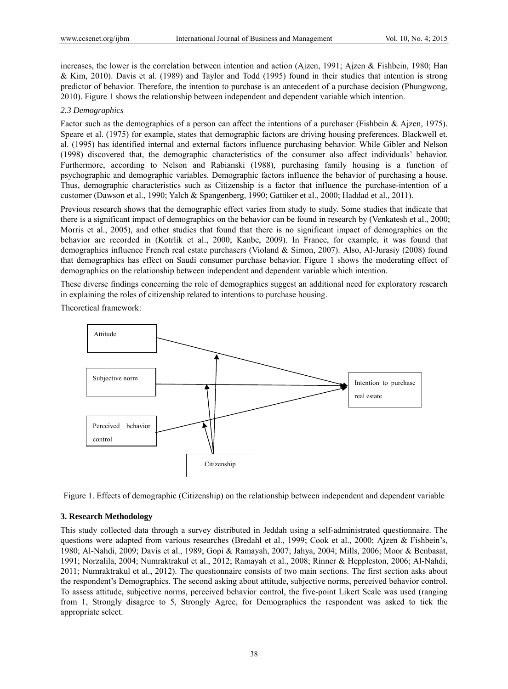increases, the lower is the correlation between intention and action (Ajzen, 1991; Ajzen & Fishbein, 1980; Han & Kim, 2010). Davis et al. (1989) and Taylor and Todd (1995) found in their studies that intention is strong predictor of behavior. Therefore, the intention to purchase is an antecedent of a purchase decision (Phungwong, 2010). Figure 1 shows the relationship between independent and dependent variable which intention.

### *2.3 Demographics*

Factor such as the demographics of a person can affect the intentions of a purchaser (Fishbein & Ajzen, 1975). Speare et al. (1975) for example, states that demographic factors are driving housing preferences. Blackwell et. al. (1995) has identified internal and external factors influence purchasing behavior. While Gibler and Nelson (1998) discovered that, the demographic characteristics of the consumer also affect individuals' behavior. Furthermore, according to Nelson and Rabianski (1988), purchasing family housing is a function of psychographic and demographic variables. Demographic factors influence the behavior of purchasing a house. Thus, demographic characteristics such as Citizenship is a factor that influence the purchase-intention of a customer (Dawson et al., 1990; Yalch & Spangenberg, 1990; Gattiker et al., 2000; Haddad et al., 2011).

Previous research shows that the demographic effect varies from study to study. Some studies that indicate that there is a significant impact of demographics on the behavior can be found in research by (Venkatesh et al., 2000; Morris et al., 2005), and other studies that found that there is no significant impact of demographics on the behavior are recorded in (Kotrlik et al., 2000; Kanbe, 2009). In France, for example, it was found that demographics influence French real estate purchasers (Violand & Simon, 2007). Also, Al-Jurasiy (2008) found that demographics has effect on Saudi consumer purchase behavior. Figure 1 shows the moderating effect of demographics on the relationship between independent and dependent variable which intention.

These diverse findings concerning the role of demographics suggest an additional need for exploratory research in explaining the roles of citizenship related to intentions to purchase housing.

Theoretical framework:



Figure 1. Effects of demographic (Citizenship) on the relationship between independent and dependent variable

### **3. Research Methodology**

This study collected data through a survey distributed in Jeddah using a self-administrated questionnaire. The questions were adapted from various researches (Bredahl et al., 1999; Cook et al., 2000; Ajzen & Fishbein's, 1980; Al-Nahdi, 2009; Davis et al., 1989; Gopi & Ramayah, 2007; Jahya, 2004; Mills, 2006; Moor & Benbasat, 1991; Norzalila, 2004; Numraktrakul et al., 2012; Ramayah et al., 2008; Rinner & Heppleston, 2006; Al-Nahdi, 2011; Numraktrakul et al., 2012). The questionnaire consists of two main sections. The first section asks about the respondent's Demographics. The second asking about attitude, subjective norms, perceived behavior control. To assess attitude, subjective norms, perceived behavior control, the five-point Likert Scale was used (ranging from 1, Strongly disagree to 5, Strongly Agree, for Demographics the respondent was asked to tick the appropriate select.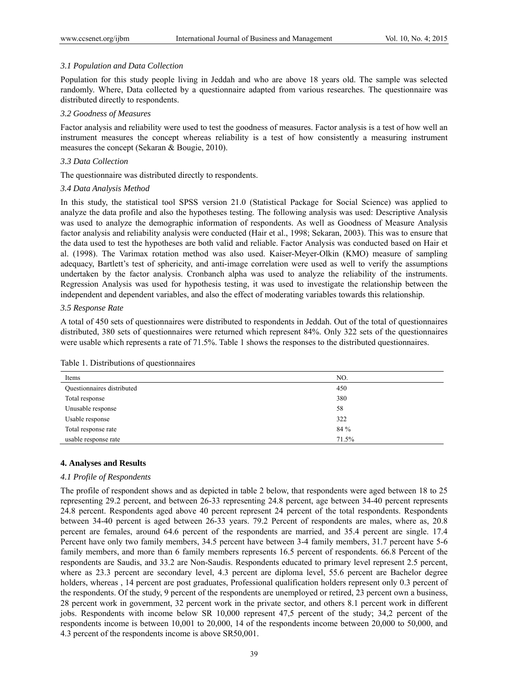# *3.1 Population and Data Collection*

Population for this study people living in Jeddah and who are above 18 years old. The sample was selected randomly. Where, Data collected by a questionnaire adapted from various researches. The questionnaire was distributed directly to respondents.

# *3.2 Goodness of Measures*

Factor analysis and reliability were used to test the goodness of measures. Factor analysis is a test of how well an instrument measures the concept whereas reliability is a test of how consistently a measuring instrument measures the concept (Sekaran & Bougie, 2010).

# *3.3 Data Collection*

The questionnaire was distributed directly to respondents.

# *3.4 Data Analysis Method*

In this study, the statistical tool SPSS version 21.0 (Statistical Package for Social Science) was applied to analyze the data profile and also the hypotheses testing. The following analysis was used: Descriptive Analysis was used to analyze the demographic information of respondents. As well as Goodness of Measure Analysis factor analysis and reliability analysis were conducted (Hair et al., 1998; Sekaran, 2003). This was to ensure that the data used to test the hypotheses are both valid and reliable. Factor Analysis was conducted based on Hair et al. (1998). The Varimax rotation method was also used. Kaiser-Meyer-Olkin (KMO) measure of sampling adequacy, Bartlett's test of sphericity, and anti-image correlation were used as well to verify the assumptions undertaken by the factor analysis. Cronbanch alpha was used to analyze the reliability of the instruments. Regression Analysis was used for hypothesis testing, it was used to investigate the relationship between the independent and dependent variables, and also the effect of moderating variables towards this relationship.

# *3.5 Response Rate*

A total of 450 sets of questionnaires were distributed to respondents in Jeddah. Out of the total of questionnaires distributed, 380 sets of questionnaires were returned which represent 84%. Only 322 sets of the questionnaires were usable which represents a rate of 71.5%. Table 1 shows the responses to the distributed questionnaires.

| Items                      | NO.   |
|----------------------------|-------|
| Questionnaires distributed | 450   |
| Total response             | 380   |
| Unusable response          | 58    |
| Usable response            | 322   |
| Total response rate        | 84 %  |
| usable response rate       | 71.5% |

Table 1. Distributions of questionnaires

# **4. Analyses and Results**

# *4.1 Profile of Respondents*

The profile of respondent shows and as depicted in table 2 below, that respondents were aged between 18 to 25 representing 29.2 percent, and between 26-33 representing 24.8 percent, age between 34-40 percent represents 24.8 percent. Respondents aged above 40 percent represent 24 percent of the total respondents. Respondents between 34-40 percent is aged between 26-33 years. 79.2 Percent of respondents are males, where as, 20.8 percent are females, around 64.6 percent of the respondents are married, and 35.4 percent are single. 17.4 Percent have only two family members, 34.5 percent have between 3-4 family members, 31.7 percent have 5-6 family members, and more than 6 family members represents 16.5 percent of respondents. 66.8 Percent of the respondents are Saudis, and 33.2 are Non-Saudis. Respondents educated to primary level represent 2.5 percent, where as 23.3 percent are secondary level, 4.3 percent are diploma level, 55.6 percent are Bachelor degree holders, whereas , 14 percent are post graduates, Professional qualification holders represent only 0.3 percent of the respondents. Of the study, 9 percent of the respondents are unemployed or retired, 23 percent own a business, 28 percent work in government, 32 percent work in the private sector, and others 8.1 percent work in different jobs. Respondents with income below SR 10,000 represent 47,5 percent of the study; 34,2 percent of the respondents income is between 10,001 to 20,000, 14 of the respondents income between 20,000 to 50,000, and 4.3 percent of the respondents income is above SR50,001.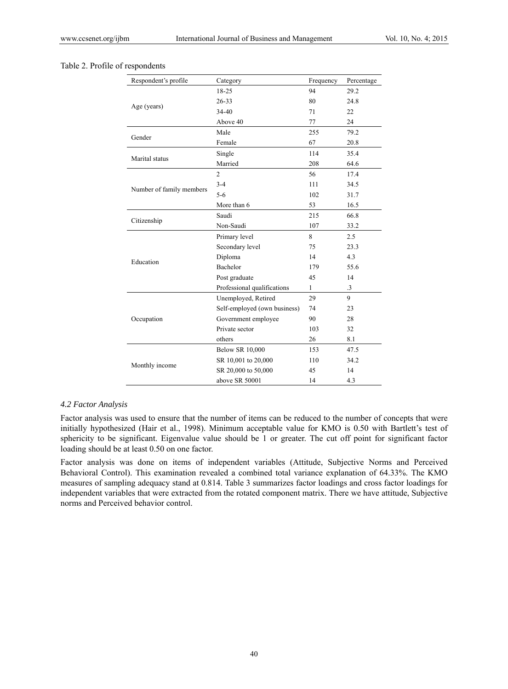| Respondent's profile     | Category                     | Frequency | Percentage |
|--------------------------|------------------------------|-----------|------------|
|                          | 18-25                        | 94        | 29.2       |
|                          | $26 - 33$                    | 80        | 24.8       |
| Age (years)              | $34 - 40$                    | 71        | 22         |
|                          | Above 40                     | 77        | 24         |
| Gender                   | Male                         | 255       | 79.2       |
|                          | Female                       | 67        | 20.8       |
|                          | Single                       | 114       | 35.4       |
| Marital status           | Married                      | 208       | 64.6       |
|                          | $\overline{2}$               | 56        | 17.4       |
|                          | $3 - 4$                      | 111       | 34.5       |
| Number of family members | $5 - 6$                      | 102       | 31.7       |
|                          | More than 6                  | 53        | 16.5       |
|                          | Saudi                        | 215       | 66.8       |
| Citizenship              | Non-Saudi                    | 107       | 33.2       |
|                          | Primary level                | 8         | 2.5        |
|                          | Secondary level              | 75        | 23.3       |
| Education                | Diploma                      | 14        | 4.3        |
|                          | Bachelor                     | 179       | 55.6       |
|                          | Post graduate                | 45        | 14         |
|                          | Professional qualifications  | 1         | $\cdot$ 3  |
|                          | Unemployed, Retired          | 29        | 9          |
|                          | Self-employed (own business) | 74        | 23         |
| Occupation               | Government employee          | 90        | 28         |
|                          | Private sector               | 103       | 32         |
|                          | others                       | 26        | 8.1        |
|                          | <b>Below SR 10,000</b>       | 153       | 47.5       |
|                          | SR 10,001 to 20,000          | 110       | 34.2       |
| Monthly income           | SR 20,000 to 50,000          | 45        | 14         |
|                          | above SR 50001               | 14        | 4.3        |

# Table 2. Profile of respondents

#### *4.2 Factor Analysis*

Factor analysis was used to ensure that the number of items can be reduced to the number of concepts that were initially hypothesized (Hair et al., 1998). Minimum acceptable value for KMO is 0.50 with Bartlett's test of sphericity to be significant. Eigenvalue value should be 1 or greater. The cut off point for significant factor loading should be at least 0.50 on one factor.

Factor analysis was done on items of independent variables (Attitude, Subjective Norms and Perceived Behavioral Control). This examination revealed a combined total variance explanation of 64.33%. The KMO measures of sampling adequacy stand at 0.814. Table 3 summarizes factor loadings and cross factor loadings for independent variables that were extracted from the rotated component matrix. There we have attitude, Subjective norms and Perceived behavior control.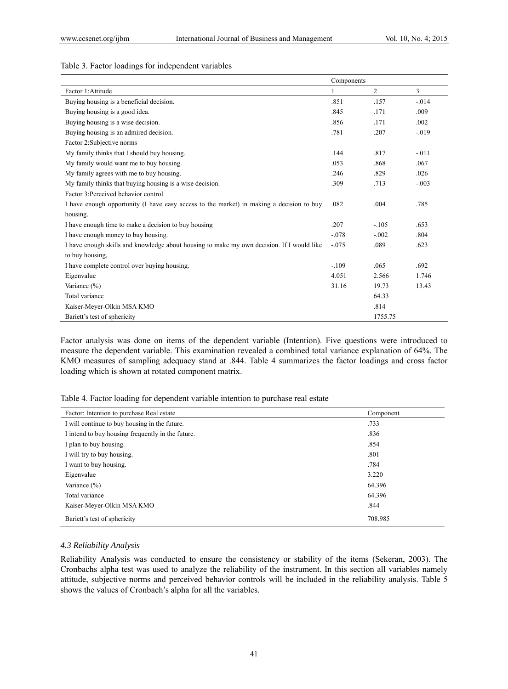# Table 3. Factor loadings for independent variables

|                                                                                           | Components |         |         |
|-------------------------------------------------------------------------------------------|------------|---------|---------|
| Factor 1: Attitude                                                                        | 1          | 2       | 3       |
| Buying housing is a beneficial decision.                                                  | .851       | .157    | $-.014$ |
| Buying housing is a good idea.                                                            | .845       | .171    | .009    |
| Buying housing is a wise decision.                                                        | .856       | .171    | .002    |
| Buying housing is an admired decision.                                                    | .781       | .207    | $-.019$ |
| Factor 2: Subjective norms                                                                |            |         |         |
| My family thinks that I should buy housing.                                               | .144       | .817    | $-.011$ |
| My family would want me to buy housing.                                                   | .053       | .868    | .067    |
| My family agrees with me to buy housing.                                                  | .246       | .829    | .026    |
| My family thinks that buying housing is a wise decision.                                  | .309       | .713    | $-.003$ |
| Factor 3: Perceived behavior control                                                      |            |         |         |
| I have enough opportunity (I have easy access to the market) in making a decision to buy  | .082       | .004    | .785    |
| housing.                                                                                  |            |         |         |
| I have enough time to make a decision to buy housing                                      | .207       | $-.105$ | .653    |
| I have enough money to buy housing.                                                       | $-.078$    | $-.002$ | .804    |
| I have enough skills and knowledge about housing to make my own decision. If I would like | $-.075$    | .089    | .623    |
| to buy housing.                                                                           |            |         |         |
| I have complete control over buying housing.                                              | $-.109$    | .065    | .692    |
| Eigenvalue                                                                                | 4.051      | 2.566   | 1.746   |
| Variance (%)                                                                              | 31.16      | 19.73   | 13.43   |
| Total variance                                                                            |            | 64.33   |         |
| Kaiser-Meyer-Olkin MSA KMO                                                                |            | .814    |         |
| Bariett's test of sphericity                                                              |            | 1755.75 |         |

Factor analysis was done on items of the dependent variable (Intention). Five questions were introduced to measure the dependent variable. This examination revealed a combined total variance explanation of 64%. The KMO measures of sampling adequacy stand at .844. Table 4 summarizes the factor loadings and cross factor loading which is shown at rotated component matrix.

Table 4. Factor loading for dependent variable intention to purchase real estate

| Factor: Intention to purchase Real estate         | Component |
|---------------------------------------------------|-----------|
| I will continue to buy housing in the future.     | .733      |
| I intend to buy housing frequently in the future. | .836      |
| I plan to buy housing.                            | .854      |
| I will try to buy housing.                        | .801      |
| I want to buy housing.                            | .784      |
| Eigenvalue                                        | 3.220     |
| Variance $(\% )$                                  | 64.396    |
| Total variance                                    | 64.396    |
| Kaiser-Meyer-Olkin MSA KMO                        | .844      |
| Bariett's test of sphericity                      | 708.985   |

### *4.3 Reliability Analysis*

Reliability Analysis was conducted to ensure the consistency or stability of the items (Sekeran, 2003). The Cronbachs alpha test was used to analyze the reliability of the instrument. In this section all variables namely attitude, subjective norms and perceived behavior controls will be included in the reliability analysis. Table 5 shows the values of Cronbach's alpha for all the variables.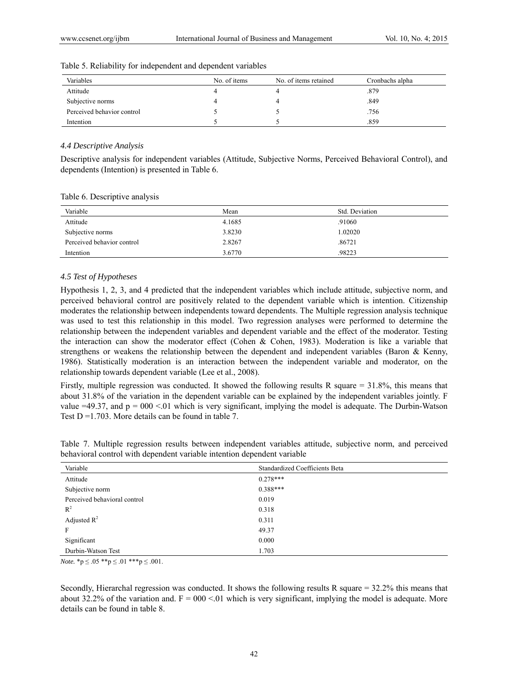| Variables                  | No. of items | No. of items retained | Cronbachs alpha |
|----------------------------|--------------|-----------------------|-----------------|
| Attitude                   |              |                       | .879            |
| Subjective norms           |              |                       | .849            |
| Perceived behavior control |              |                       | .756            |
| Intention                  |              |                       | .859            |

Table 5. Reliability for independent and dependent variables

### *4.4 Descriptive Analysis*

Descriptive analysis for independent variables (Attitude, Subjective Norms, Perceived Behavioral Control), and dependents (Intention) is presented in Table 6.

Table 6. Descriptive analysis

| Variable                   | Mean   | Std. Deviation |
|----------------------------|--------|----------------|
| Attitude                   | 4.1685 | .91060         |
| Subjective norms           | 3.8230 | 1.02020        |
| Perceived behavior control | 2.8267 | .86721         |
| Intention                  | 3.6770 | .98223         |

# *4.5 Test of Hypotheses*

Hypothesis 1, 2, 3, and 4 predicted that the independent variables which include attitude, subjective norm, and perceived behavioral control are positively related to the dependent variable which is intention. Citizenship moderates the relationship between independents toward dependents. The Multiple regression analysis technique was used to test this relationship in this model. Two regression analyses were performed to determine the relationship between the independent variables and dependent variable and the effect of the moderator. Testing the interaction can show the moderator effect (Cohen & Cohen, 1983). Moderation is like a variable that strengthens or weakens the relationship between the dependent and independent variables (Baron & Kenny, 1986). Statistically moderation is an interaction between the independent variable and moderator, on the relationship towards dependent variable (Lee et al., 2008).

Firstly, multiple regression was conducted. It showed the following results R square  $= 31.8\%$ , this means that about 31.8% of the variation in the dependent variable can be explained by the independent variables jointly. F value  $=49.37$ , and  $p = 000 \le 01$  which is very significant, implying the model is adequate. The Durbin-Watson Test  $D = 1.703$ . More details can be found in table 7.

| Table 7. Multiple regression results between independent variables attitude, subjective norm, and perceived |  |  |  |  |  |
|-------------------------------------------------------------------------------------------------------------|--|--|--|--|--|
| behavioral control with dependent variable intention dependent variable                                     |  |  |  |  |  |

| Variable                     | Standardized Coefficients Beta |
|------------------------------|--------------------------------|
| Attitude                     | $0.278***$                     |
| Subjective norm              | $0.388***$                     |
| Perceived behavioral control | 0.019                          |
| $R^2$                        | 0.318                          |
| Adjusted $R^2$               | 0.311                          |
| F                            | 49.37                          |
| Significant                  | 0.000                          |
| Durbin-Watson Test           | 1.703                          |

*Note.* \* $p \le 0.05$  \*\* $p \le 0.01$  \*\*\* $p \le 0.001$ .

Secondly, Hierarchal regression was conducted. It shows the following results R square = 32.2% this means that about 32.2% of the variation and.  $F = 000 \le 01$  which is very significant, implying the model is adequate. More details can be found in table 8.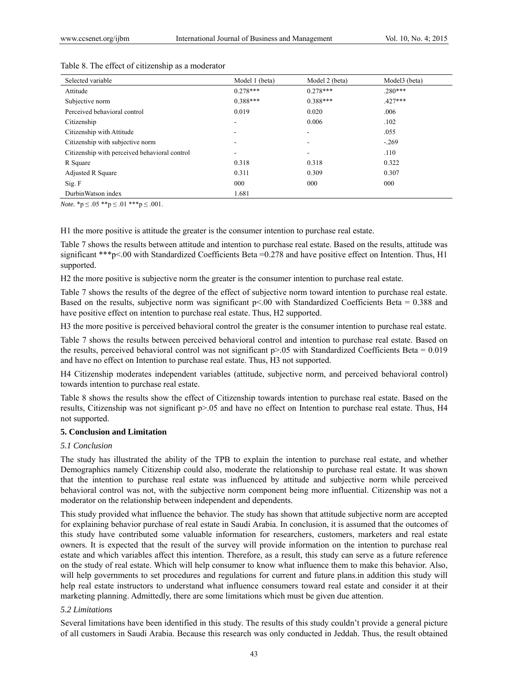| Selected variable                             | Model 1 (beta)           | Model 2 (beta) | Model3 (beta) |
|-----------------------------------------------|--------------------------|----------------|---------------|
| Attitude                                      | $0.278***$               | $0.278***$     | $.280***$     |
| Subjective norm                               | $0.388***$               | $0.388***$     | $.427***$     |
| Perceived behavioral control                  | 0.019                    | 0.020          | .006          |
| Citizenship                                   | ۰                        | 0.006          | .102          |
| Citizenship with Attitude                     | ۰                        | $\blacksquare$ | .055          |
| Citizenship with subjective norm              |                          | ۰              | $-.269$       |
| Citizenship with perceived behavioral control | $\overline{\phantom{a}}$ | ۰              | .110          |
| R Square                                      | 0.318                    | 0.318          | 0.322         |
| Adjusted R Square                             | 0.311                    | 0.309          | 0.307         |
| Sig. F                                        | 000                      | 000            | 000           |
| DurbinWatson index                            | 1.681                    |                |               |

### Table 8. The effect of citizenship as a moderator

*Note.* \*p  $\leq .05$  \*\*p  $\leq .01$  \*\*\*p  $\leq .001$ .

H1 the more positive is attitude the greater is the consumer intention to purchase real estate.

Table 7 shows the results between attitude and intention to purchase real estate. Based on the results, attitude was significant \*\*\*p<.00 with Standardized Coefficients Beta =0.278 and have positive effect on Intention. Thus, H1 supported.

H2 the more positive is subjective norm the greater is the consumer intention to purchase real estate.

Table 7 shows the results of the degree of the effect of subjective norm toward intention to purchase real estate. Based on the results, subjective norm was significant  $p<0$  with Standardized Coefficients Beta = 0.388 and have positive effect on intention to purchase real estate. Thus, H2 supported.

H3 the more positive is perceived behavioral control the greater is the consumer intention to purchase real estate.

Table 7 shows the results between perceived behavioral control and intention to purchase real estate. Based on the results, perceived behavioral control was not significant  $p$ >.05 with Standardized Coefficients Beta = 0.019 and have no effect on Intention to purchase real estate. Thus, H3 not supported.

H4 Citizenship moderates independent variables (attitude, subjective norm, and perceived behavioral control) towards intention to purchase real estate.

Table 8 shows the results show the effect of Citizenship towards intention to purchase real estate. Based on the results, Citizenship was not significant p>.05 and have no effect on Intention to purchase real estate. Thus, H4 not supported.

### **5. Conclusion and Limitation**

# *5.1 Conclusion*

The study has illustrated the ability of the TPB to explain the intention to purchase real estate, and whether Demographics namely Citizenship could also, moderate the relationship to purchase real estate. It was shown that the intention to purchase real estate was influenced by attitude and subjective norm while perceived behavioral control was not, with the subjective norm component being more influential. Citizenship was not a moderator on the relationship between independent and dependents.

This study provided what influence the behavior. The study has shown that attitude subjective norm are accepted for explaining behavior purchase of real estate in Saudi Arabia. In conclusion, it is assumed that the outcomes of this study have contributed some valuable information for researchers, customers, marketers and real estate owners. It is expected that the result of the survey will provide information on the intention to purchase real estate and which variables affect this intention. Therefore, as a result, this study can serve as a future reference on the study of real estate. Which will help consumer to know what influence them to make this behavior. Also, will help governments to set procedures and regulations for current and future plans.in addition this study will help real estate instructors to understand what influence consumers toward real estate and consider it at their marketing planning. Admittedly, there are some limitations which must be given due attention.

# *5.2 Limitations*

Several limitations have been identified in this study. The results of this study couldn't provide a general picture of all customers in Saudi Arabia. Because this research was only conducted in Jeddah. Thus, the result obtained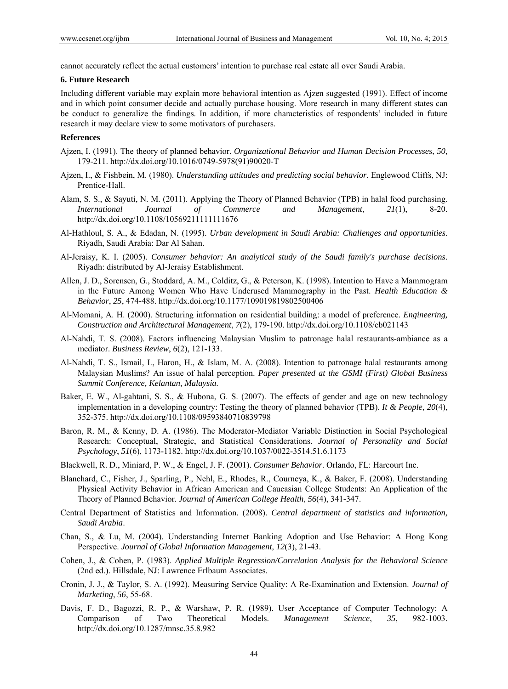cannot accurately reflect the actual customers' intention to purchase real estate all over Saudi Arabia.

### **6. Future Research**

Including different variable may explain more behavioral intention as Ajzen suggested (1991). Effect of income and in which point consumer decide and actually purchase housing. More research in many different states can be conduct to generalize the findings. In addition, if more characteristics of respondents' included in future research it may declare view to some motivators of purchasers.

### **References**

- Ajzen, I. (1991). The theory of planned behavior. *Organizational Behavior and Human Decision Processes*, *50*, 179-211. http://dx.doi.org/10.1016/0749-5978(91)90020-T
- Ajzen, I., & Fishbein, M. (1980). *Understanding attitudes and predicting social behavior*. Englewood Cliffs, NJ: Prentice-Hall.
- Alam, S. S., & Sayuti, N. M. (2011). Applying the Theory of Planned Behavior (TPB) in halal food purchasing. *International Journal of Commerce and Management*, *21*(1), 8-20. http://dx.doi.org/10.1108/10569211111111676
- Al-Hathloul, S. A., & Edadan, N. (1995). *Urban development in Saudi Arabia: Challenges and opportunities*. Riyadh, Saudi Arabia: Dar Al Sahan.
- Al-Jeraisy, K. I. (2005). *Consumer behavior: An analytical study of the Saudi family's purchase decisions*. Riyadh: distributed by Al-Jeraisy Establishment.
- Allen, J. D., Sorensen, G., Stoddard, A. M., Colditz, G., & Peterson, K. (1998). Intention to Have a Mammogram in the Future Among Women Who Have Underused Mammography in the Past. *Health Education & Behavior*, *25*, 474-488. http://dx.doi.org/10.1177/109019819802500406
- Al-Momani, A. H. (2000). Structuring information on residential building: a model of preference. *Engineering, Construction and Architectural Management*, *7*(2), 179-190. http://dx.doi.org/10.1108/eb021143
- Al-Nahdi, T. S. (2008). Factors influencing Malaysian Muslim to patronage halal restaurants-ambiance as a mediator. *Business Review*, *6*(2), 121-133.
- Al-Nahdi, T. S., Ismail, I., Haron, H., & Islam, M. A. (2008). Intention to patronage halal restaurants among Malaysian Muslims? An issue of halal perception. *Paper presented at the GSMI (First) Global Business Summit Conference, Kelantan, Malaysia*.
- Baker, E. W., Al-gahtani, S. S., & Hubona, G. S. (2007). The effects of gender and age on new technology implementation in a developing country: Testing the theory of planned behavior (TPB). *It & People*, *20*(4), 352-375. http://dx.doi.org/10.1108/09593840710839798
- Baron, R. M., & Kenny, D. A. (1986). The Moderator-Mediator Variable Distinction in Social Psychological Research: Conceptual, Strategic, and Statistical Considerations. *Journal of Personality and Social Psychology*, *51*(6), 1173-1182. http://dx.doi.org/10.1037/0022-3514.51.6.1173
- Blackwell, R. D., Miniard, P. W., & Engel, J. F. (2001). *Consumer Behavior*. Orlando, FL: Harcourt Inc.
- Blanchard, C., Fisher, J., Sparling, P., Nehl, E., Rhodes, R., Courneya, K., & Baker, F. (2008). Understanding Physical Activity Behavior in African American and Caucasian College Students: An Application of the Theory of Planned Behavior. *Journal of American College Health*, *56*(4), 341-347.
- Central Department of Statistics and Information. (2008). *Central department of statistics and information, Saudi Arabia*.
- Chan, S., & Lu, M. (2004). Understanding Internet Banking Adoption and Use Behavior: A Hong Kong Perspective. *Journal of Global Information Management*, *12*(3), 21-43.
- Cohen, J., & Cohen, P. (1983). *Applied Multiple Regression/Correlation Analysis for the Behavioral Science* (2nd ed.). Hillsdale, NJ: Lawrence Erlbaum Associates.
- Cronin, J. J., & Taylor, S. A. (1992). Measuring Service Quality: A Re-Examination and Extension. *Journal of Marketing*, *56*, 55-68.
- Davis, F. D., Bagozzi, R. P., & Warshaw, P. R. (1989). User Acceptance of Computer Technology: A Comparison of Two Theoretical Models. *Management Science*, *35*, 982-1003. http://dx.doi.org/10.1287/mnsc.35.8.982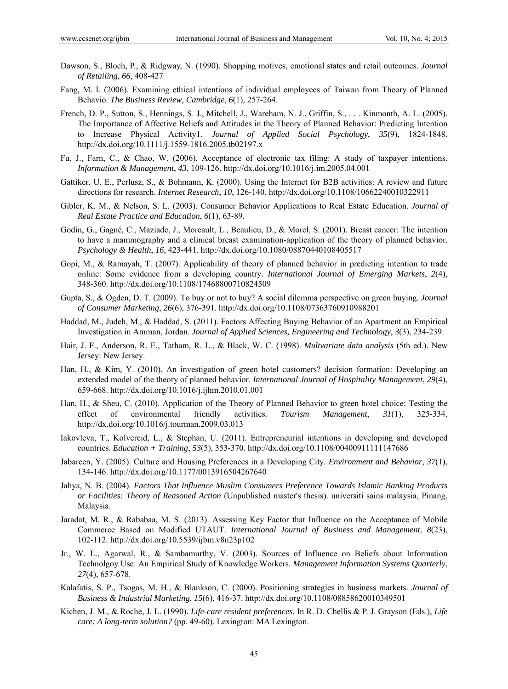- Dawson, S., Bloch, P., & Ridgway, N. (1990). Shopping motives, emotional states and retail outcomes. *Journal of Retailing*, *66*, 408-427
- Fang, M. I. (2006). Examining ethical intentions of individual employees of Taiwan from Theory of Planned Behavio. *The Business Review, Cambridge*, *6*(1), 257-264.
- French, D. P., Sutton, S., Hennings, S. J., Mitchell, J., Wareham, N. J., Griffin, S., . . . Kinmonth, A. L. (2005). The Importance of Affective Beliefs and Attitudes in the Theory of Planned Behavior: Predicting Intention to Increase Physical Activity1. *Journal of Applied Social Psychology*, *35*(9), 1824-1848. http://dx.doi.org/10.1111/j.1559-1816.2005.tb02197.x
- Fu, J., Farn, C., & Chao, W. (2006). Acceptance of electronic tax filing: A study of taxpayer intentions. *Information & Management*, *43*, 109-126. http://dx.doi.org/10.1016/j.im.2005.04.001
- Gattiker, U. E., Perlusz, S., & Bohmann, K. (2000). Using the Internet for B2B activities: A review and future directions for research. *Internet Research*, *10*, 126-140. http://dx.doi.org/10.1108/10662240010322911
- Gibler, K. M., & Nelson, S. L. (2003). Consumer Behavior Applications to Real Estate Education. *Journal of Real Estate Practice and Education*, *6*(1), 63-89.
- Godin, G., Gagné, C., Maziade, J., Moreault, L., Beaulieu, D., & Morel, S. (2001). Breast cancer: The intention to have a mammography and a clinical breast examination-application of the theory of planned behavior. *Psychology & Health*, *16*, 423-441. http://dx.doi.org/10.1080/08870440108405517
- Gopi, M., & Ramayah, T. (2007). Applicability of theory of planned behavior in predicting intention to trade online: Some evidence from a developing country. *International Journal of Emerging Markets*, *2*(4), 348-360. http://dx.doi.org/10.1108/17468800710824509
- Gupta, S., & Ogden, D. T. (2009). To buy or not to buy? A social dilemma perspective on green buying. *Journal of Consumer Marketing*, *26*(6), 376-391. http://dx.doi.org/10.1108/07363760910988201
- Haddad, M., Judeh, M., & Haddad, S. (2011). Factors Affecting Buying Behavior of an Apartment an Empirical Investigation in Amman, Jordan. *Journal of Applied Sciences, Engineering and Technology*, *3*(3), 234-239.
- Hair, J. F., Anderson, R. E., Tatham, R. L., & Black, W. C. (1998). *Multvariate data analysis* (5th ed.). New Jersey: New Jersey.
- Han, H., & Kim, Y. (2010). An investigation of green hotel customers? decision formation: Developing an extended model of the theory of planned behavior. *International Journal of Hospitality Management*, *29*(4), 659-668. http://dx.doi.org/10.1016/j.ijhm.2010.01.001
- Han, H., & Sheu, C. (2010). Application of the Theory of Planned Behavior to green hotel choice: Testing the effect of environmental friendly activities. *Tourism Management*, *31*(1), 325-334. http://dx.doi.org/10.1016/j.tourman.2009.03.013
- Iakovleva, T., Kolvereid, L., & Stephan, U. (2011). Entrepreneurial intentions in developing and developed countries. *Education + Training*, *53*(5), 353-370. http://dx.doi.org/10.1108/00400911111147686
- Jabareen, Y. (2005). Culture and Housing Preferences in a Developing City. *Environment and Behavior*, *37*(1), 134-146. http://dx.doi.org/10.1177/0013916504267640
- Jahya, N. B. (2004). *Factors That Influence Muslim Consumers Preference Towards Islamic Banking Products or Facilities: Theory of Reasoned Action* (Unpublished master's thesis). universiti sains malaysia, Pinang, Malaysia.
- Jaradat, M. R., & Rababaa, M. S. (2013). Assessing Key Factor that Influence on the Acceptance of Mobile Commerce Based on Modified UTAUT. *International Journal of Business and Management*, *8*(23), 102-112. http://dx.doi.org/10.5539/ijbm.v8n23p102
- Jr., W. L., Agarwal, R., & Sambamurthy, V. (2003). Sources of Influence on Beliefs about Information Technolgoy Use: An Empirical Study of Knowledge Workers. *Management Information Systems Quarterly*, *27*(4), 657-678.
- Kalafatis, S. P., Tsogas, M. H., & Blankson, C. (2000). Positioning strategies in business markets. *Journal of Business & Industrial Marketing*, *15*(6), 416-37. http://dx.doi.org/10.1108/08858620010349501
- Kichen, J. M., & Roche, J. L. (1990). *Life-care resident preferences.* In R. D. Chellis & P. J. Grayson (Eds.), *Life care: A long-term solution?* (pp. 49-60). Lexington: MA Lexington.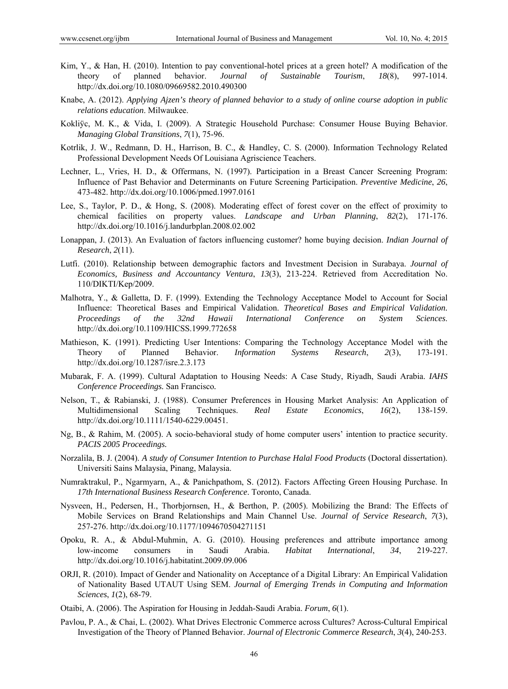- Kim, Y., & Han, H. (2010). Intention to pay conventional-hotel prices at a green hotel? A modification of the theory of planned behavior. *Journal of Sustainable Tourism*, *18*(8), 997-1014. http://dx.doi.org/10.1080/09669582.2010.490300
- Knabe, A. (2012). *Applying Ajzen's theory of planned behavior to a study of online course adoption in public relations education*. Milwaukee.
- Kokliÿc, M. K., & Vida, I. (2009). A Strategic Household Purchase: Consumer House Buying Behavior. *Managing Global Transitions*, *7*(1), 75-96.
- Kotrlik, J. W., Redmann, D. H., Harrison, B. C., & Handley, C. S. (2000). Information Technology Related Professional Development Needs Of Louisiana Agriscience Teachers.
- Lechner, L., Vries, H. D., & Offermans, N. (1997). Participation in a Breast Cancer Screening Program: Influence of Past Behavior and Determinants on Future Screening Participation. *Preventive Medicine*, *26*, 473-482. http://dx.doi.org/10.1006/pmed.1997.0161
- Lee, S., Taylor, P. D., & Hong, S. (2008). Moderating effect of forest cover on the effect of proximity to chemical facilities on property values. *Landscape and Urban Planning*, *82*(2), 171-176. http://dx.doi.org/10.1016/j.landurbplan.2008.02.002
- Lonappan, J. (2013). An Evaluation of factors influencing customer? home buying decision. *Indian Journal of Research*, *2*(11).
- Lutfi. (2010). Relationship between demographic factors and Investment Decision in Surabaya. *Journal of Economics, Business and Accountancy Ventura*, *13*(3), 213-224. Retrieved from Accreditation No. 110/DIKTI/Kep/2009.
- Malhotra, Y., & Galletta, D. F. (1999). Extending the Technology Acceptance Model to Account for Social Influence: Theoretical Bases and Empirical Validation. *Theoretical Bases and Empirical Validation. Proceedings of the 32nd Hawaii International Conference on System Sciences*. http://dx.doi.org/10.1109/HICSS.1999.772658
- Mathieson, K. (1991). Predicting User Intentions: Comparing the Technology Acceptance Model with the Theory of Planned Behavior. *Information Systems Research*, *2*(3), 173-191. http://dx.doi.org/10.1287/isre.2.3.173
- Mubarak, F. A. (1999). Cultural Adaptation to Housing Needs: A Case Study, Riyadh, Saudi Arabia. *IAHS Conference Proceedings.* San Francisco*.*
- Nelson, T., & Rabianski, J. (1988). Consumer Preferences in Housing Market Analysis: An Application of Multidimensional Scaling Techniques. *Real Estate Economics*, *16*(2), 138-159. http://dx.doi.org/10.1111/1540-6229.00451.
- Ng, B., & Rahim, M. (2005). A socio-behavioral study of home computer users' intention to practice security. *PACIS 2005 Proceedings.*
- Norzalila, B. J. (2004). *A study of Consumer Intention to Purchase Halal Food Products* (Doctoral dissertation). Universiti Sains Malaysia, Pinang, Malaysia.
- Numraktrakul, P., Ngarmyarn, A., & Panichpathom, S. (2012). Factors Affecting Green Housing Purchase. In *17th International Business Research Conference*. Toronto, Canada.
- Nysveen, H., Pedersen, H., Thorbjornsen, H., & Berthon, P. (2005). Mobilizing the Brand: The Effects of Mobile Services on Brand Relationships and Main Channel Use. *Journal of Service Research*, *7*(3), 257-276. http://dx.doi.org/10.1177/1094670504271151
- Opoku, R. A., & Abdul-Muhmin, A. G. (2010). Housing preferences and attribute importance among low-income consumers in Saudi Arabia. *Habitat International*, *34*, 219-227. http://dx.doi.org/10.1016/j.habitatint.2009.09.006
- ORJI, R. (2010). Impact of Gender and Nationality on Acceptance of a Digital Library: An Empirical Validation of Nationality Based UTAUT Using SEM. *Journal of Emerging Trends in Computing and Information Sciences*, *1*(2), 68-79.
- Otaibi, A. (2006). The Aspiration for Housing in Jeddah-Saudi Arabia. *Forum*, *6*(1).
- Pavlou, P. A., & Chai, L. (2002). What Drives Electronic Commerce across Cultures? Across-Cultural Empirical Investigation of the Theory of Planned Behavior. *Journal of Electronic Commerce Research*, *3*(4), 240-253.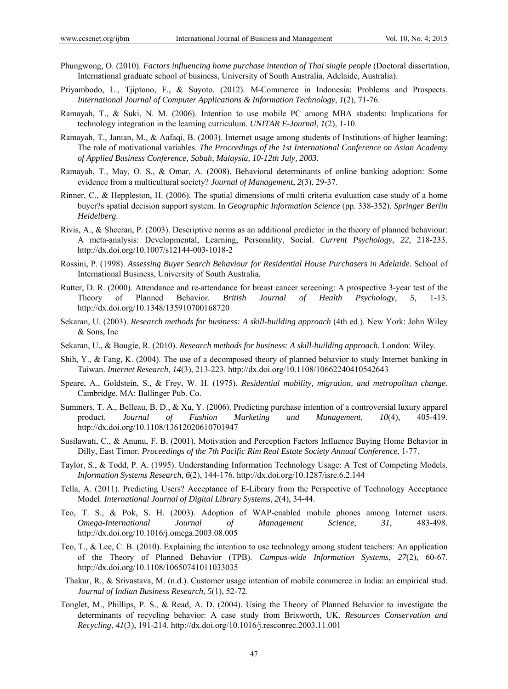- Phungwong, O. (2010). *Factors influencing home purchase intention of Thai single people* (Doctoral dissertation, International graduate school of business, University of South Australia, Adelaide, Australia).
- Priyambodo, L., Tjiptono, F., & Suyoto. (2012). M-Commerce in Indonesia: Problems and Prospects. *International Journal of Computer Applications & Information Technology*, *1*(2), 71-76.
- Ramayah, T., & Suki, N. M. (2006). Intention to use mobile PC among MBA students: Implications for technology integration in the learning curriculum. *UNITAR E-Journal*, *1*(2), 1-10.
- Ramayah, T., Jantan, M., & Aafaqi, B. (2003). Internet usage among students of Institutions of higher learning: The role of motivational variables. *The Proceedings of the 1st International Conference on Asian Academy of Applied Business Conference, Sabah, Malaysia, 10-12th July, 2003*.
- Ramayah, T., May, O. S., & Omar, A. (2008). Behavioral determinants of online banking adoption: Some evidence from a multicultural society? *Journal of Management*, *2*(3), 29-37.
- Rinner, C., & Heppleston, H. (2006). The spatial dimensions of multi criteria evaluation case study of a home buyer?s spatial decision support system. In *Geographic Information Science* (pp. 338-352). *Springer Berlin Heidelberg*.
- Rivis, A., & Sheeran, P. (2003). Descriptive norms as an additional predictor in the theory of planned behaviour: A meta-analysis: Developmental, Learning, Personality, Social. *Current Psychology*, *22*, 218-233. http://dx.doi.org/10.1007/s12144-003-1018-2
- Rossini, P. (1998). *Assessing Buyer Search Behaviour for Residential House Purchasers in Adelaide.* School of International Business, University of South Australia*.*
- Rutter, D. R. (2000). Attendance and re-attendance for breast cancer screening: A prospective 3-year test of the Theory of Planned Behavior. *British Journal of Health Psychology*, *5*, 1-13. http://dx.doi.org/10.1348/135910700168720
- Sekaran, U. (2003). *Research methods for business: A skill-building approach* (4th ed.). New York: John Wiley & Sons, Inc
- Sekaran, U., & Bougie, R. (2010). *Research methods for business: A skill-building approach*. London: Wiley.
- Shih, Y., & Fang, K. (2004). The use of a decomposed theory of planned behavior to study Internet banking in Taiwan. *Internet Research*, *14*(3), 213-223. http://dx.doi.org/10.1108/10662240410542643
- Speare, A., Goldstein, S., & Frey, W. H. (1975). *Residential mobility, migration, and metropolitan change*. Cambridge, MA: Ballinger Pub. Co.
- Summers, T. A., Belleau, B. D., & Xu, Y. (2006). Predicting purchase intention of a controversial luxury apparel product. *Journal of Fashion Marketing and Management*, *10*(4), 405-419. http://dx.doi.org/10.1108/13612020610701947
- Susilawati, C., & Anunu, F. B. (2001). Motivation and Perception Factors Influence Buying Home Behavior in Dilly, East Timor. *Proceedings of the 7th Pacific Rim Real Estate Society Annual Conference*, 1-77.
- Taylor, S., & Todd, P. A. (1995). Understanding Information Technology Usage: A Test of Competing Models. *Information Systems Research*, *6*(2), 144-176. http://dx.doi.org/10.1287/isre.6.2.144
- Tella, A. (2011). Predicting Users? Acceptance of E-Library from the Perspective of Technology Acceptance Model. *International Journal of Digital Library Systems*, *2*(4), 34-44.
- Teo, T. S., & Pok, S. H. (2003). Adoption of WAP-enabled mobile phones among Internet users. *Omega-International Journal of Management Science*, *31*, 483-498. http://dx.doi.org/10.1016/j.omega.2003.08.005
- Teo, T., & Lee, C. B. (2010). Explaining the intention to use technology among student teachers: An application of the Theory of Planned Behavior (TPB). *Campus-wide Information Systems*, *27*(2), 60-67. http://dx.doi.org/10.1108/10650741011033035
- Thakur, R., & Srivastava, M. (n.d.). Customer usage intention of mobile commerce in India: an empirical stud. *Journal of Indian Business Research*, *5*(1), 52-72.
- Tonglet, M., Phillips, P. S., & Read, A. D. (2004). Using the Theory of Planned Behavior to investigate the determinants of recycling behavior: A case study from Brixworth, UK. *Resources Conservation and Recycling*, *41*(3), 191-214. http://dx.doi.org/10.1016/j.resconrec.2003.11.001